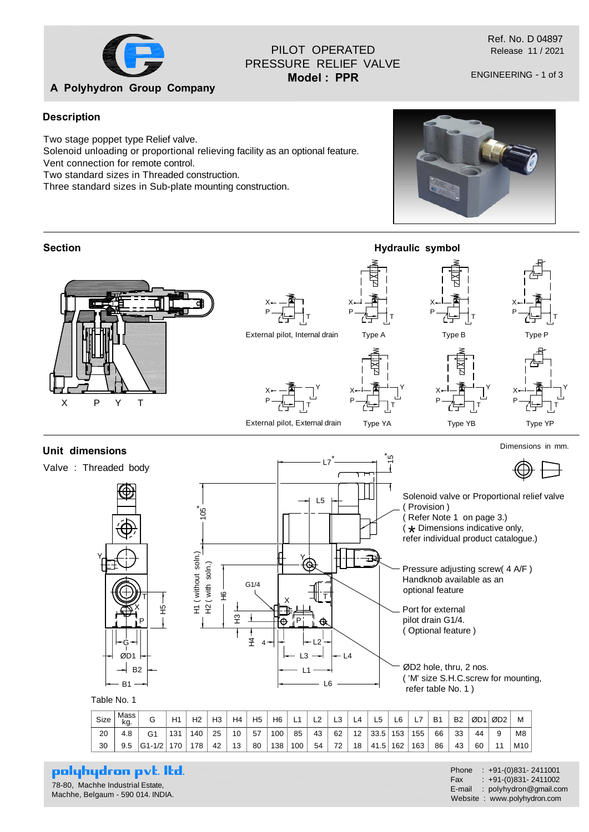

## PILOT OPERATED PRESSURE RELIEF VALVE **Model : PPR**

Ref. No. D 04897 Release 11 / 2021

ENGINEERING - 1 of 3

## **Description**

Two stage poppet type Relief valve.

Solenoid unloading or proportional relieving facility as an optional feature.

Vent connection for remote control.

Two standard sizes in Threaded construction.

Three standard sizes in Sub-plate mounting construction.





# polyhydron pvt. Itd.

78-80, Machhe Industrial Estate, Machhe, Belgaum - 590 014. INDIA.

Phone : +91-(0)831- 2411001 Fax :  $+91-(0)831-2411002$ E-mail : polyhydron@gmail.com Website : www.polyhydron.com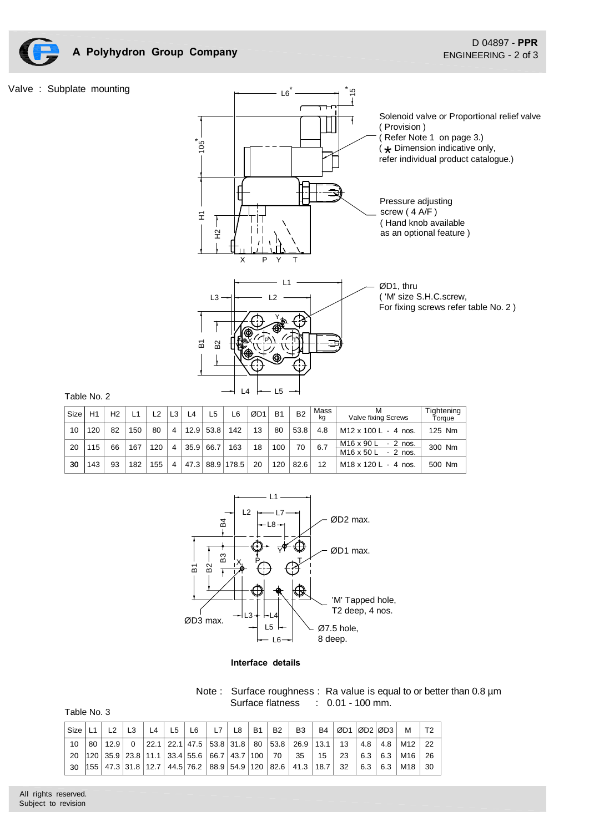

### Valve : Subplate mounting



### Table No. 2

| Size | H1  | H <sub>2</sub> | L1  | 12  | L <sub>3</sub> | L <sub>4</sub> | ∟5          | L6              | ØD1 | <b>B1</b> | <b>B2</b> | Mass<br>ka | м<br>Valve fixing Screws                           | Tightening<br>Torque |
|------|-----|----------------|-----|-----|----------------|----------------|-------------|-----------------|-----|-----------|-----------|------------|----------------------------------------------------|----------------------|
| 10   | 120 | 82             | 150 | 80  | $\overline{4}$ |                | $12.9$ 53.8 | 142             | 13  | 80        | 53.8      | 4.8        | $M12 \times 100$ L - 4 nos.                        | 125 Nm               |
| 20   | 115 | 66             | 167 | 120 | 4              | 35.9           | 66.7        | 163             | 18  | 100       | 70        | 6.7        | M16 x 90 L<br>$-2$ nos.<br>M16 x 50 L<br>$-2$ nos. | 300 Nm               |
| 30   | 143 | 93             | 182 | 155 | 4              |                |             | 47.3 88.9 178.5 | 20  | 120       | 82.6      | 12         | $M18 \times 120$ L - 4 nos.                        | 500 Nm               |



#### **Interface details**

Note : Surface roughness : Ra value is equal to or better than 0.8  $\mu$ m Surface flatness : 0.01 - 100 mm.

| Table No. 3 |  |  |
|-------------|--|--|
|-------------|--|--|

| Size            |                                                  | L <sub>4</sub> | L5 | L6 | L7 | L8 | B1 | <b>B2</b> | <b>B3</b>                                                                                                                                    | <b>B4</b> | ØD1   ØD2   ØD3 |     |                   | м                   |    |
|-----------------|--------------------------------------------------|----------------|----|----|----|----|----|-----------|----------------------------------------------------------------------------------------------------------------------------------------------|-----------|-----------------|-----|-------------------|---------------------|----|
| 10 <sup>1</sup> |                                                  |                |    |    |    |    |    |           | 80   12.9   0   22.1   22.1   47.5   53.8   31.8   80   53.8   26.9   13.1   13                                                              |           |                 |     |                   | $4.8$   $4.8$   M12 | 22 |
|                 | 20 120 35.9 23.8 11.1 33.4 55.6 66.7 43.7 100 70 |                |    |    |    |    |    |           | 35   15                                                                                                                                      |           | -23             |     | $6.3 \pm 6.3$     | M16                 | 26 |
| 30              |                                                  |                |    |    |    |    |    |           | $\vert 155 \vert 47.3 \vert 31.8 \vert 12.7 \vert 44.5 \vert 76.2 \vert 88.9 \vert 54.9 \vert 120 \vert 82.6 \vert 41.3 \vert 18.7 \vert 32$ |           |                 | 6.3 | $\vert 6.3 \vert$ | M18                 | 30 |